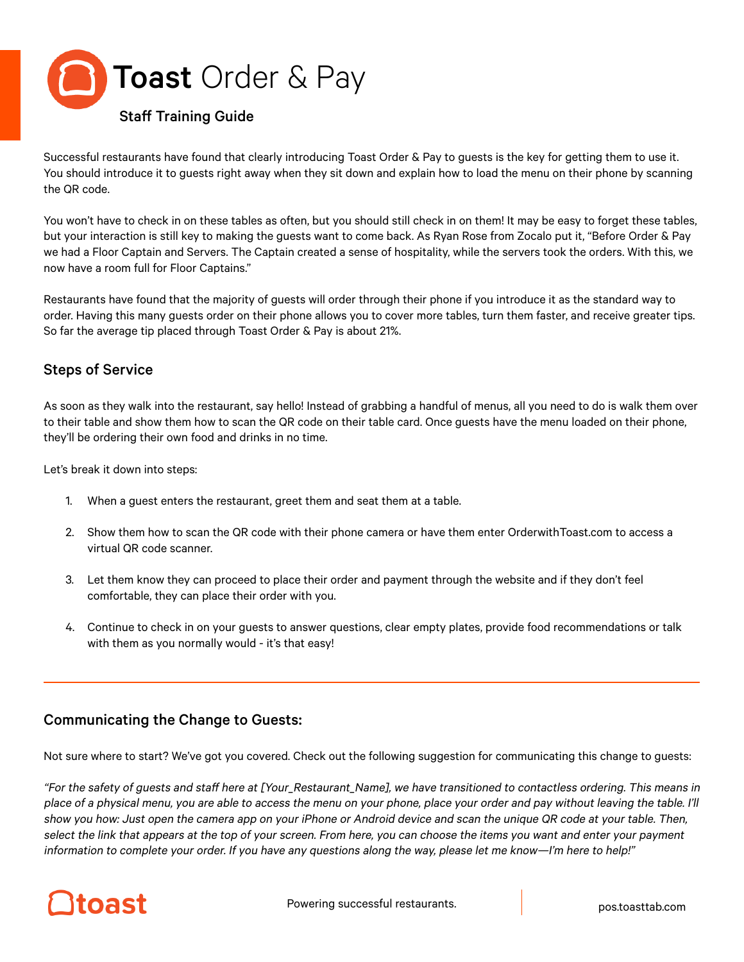

Successful restaurants have found that clearly introducing Toast Order & Pay to guests is the key for getting them to use it. You should introduce it to guests right away when they sit down and explain how to load the menu on their phone by scanning the QR code.

You won't have to check in on these tables as often, but you should still check in on them! It may be easy to forget these tables, but your interaction is still key to making the guests want to come back. As Ryan Rose from Zocalo put it, "Before Order & Pay we had a Floor Captain and Servers. The Captain created a sense of hospitality, while the servers took the orders. With this, we now have a room full for Floor Captains."

Restaurants have found that the majority of guests will order through their phone if you introduce it as the standard way to order. Having this many guests order on their phone allows you to cover more tables, turn them faster, and receive greater tips. So far the average tip placed through Toast Order & Pay is about 21%.

## Steps of Service

As soon as they walk into the restaurant, say hello! Instead of grabbing a handful of menus, all you need to do is walk them over to their table and show them how to scan the QR code on their table card. Once guests have the menu loaded on their phone, they'll be ordering their own food and drinks in no time.

Let's break it down into steps:

- 1. When a guest enters the restaurant, greet them and seat them at a table.
- 2. Show them how to scan the QR code with their phone camera or have them enter OrderwithToast.com to access a virtual QR code scanner.
- 3. Let them know they can proceed to place their order and payment through the website and if they don't feel comfortable, they can place their order with you.
- 4. Continue to check in on your guests to answer questions, clear empty plates, provide food recommendations or talk with them as you normally would - it's that easy!

## Communicating the Change to Guests:

Not sure where to start? We've got you covered. Check out the following suggestion for communicating this change to guests:

"For the safety of guests and staff here at [Your\_Restaurant\_Name], we have transitioned to contactless ordering. This means in place of a physical menu, you are able to access the menu on your phone, place your order and pay without leaving the table. I'll show you how: Just open the camera app on your iPhone or Android device and scan the unique QR code at your table. Then, select the link that appears at the top of your screen. From here, you can choose the items you want and enter your payment information to complete your order. If you have any questions along the way, please let me know—I'm here to help!"